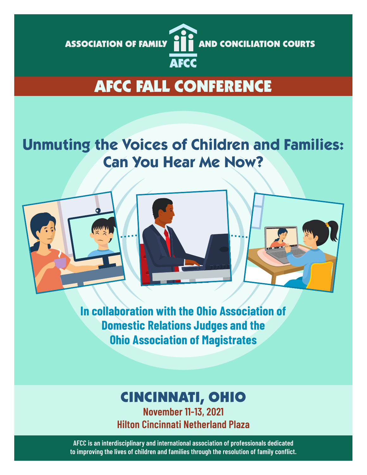

# AFCC FALL CONFERENCE

# **Unmuting the Voices of Children and Families: Can You Hear Me Now?**



**In collaboration with the Ohio Association of Domestic Relations Judges and the Ohio Association of Magistrates**

# CINCINNATI, OHIO

**November 11-13, 2021 Hilton Cincinnati Netherland Plaza**

**AFCC is an interdisciplinary and international association of professionals dedicated to improving the lives of children and families through the resolution of family conflict.**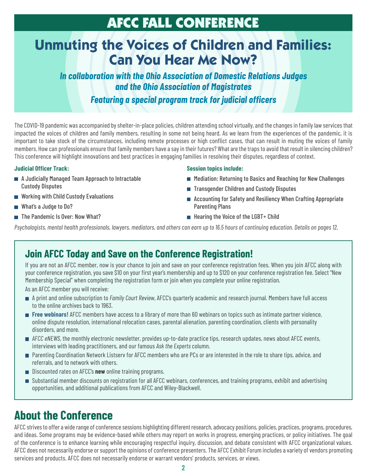# AFCC FALL CONFERENCE

# **Unmuting the Voices of Children and Families: Can You Hear Me Now?**

*In collaboration with the Ohio Association of Domestic Relations Judges and the Ohio Association of Magistrates*

*Featuring a special program track for judicial officers*

The COVID-19 pandemic was accompanied by shelter-in-place policies, children attending school virtually, and the changes in family law services that impacted the voices of children and family members, resulting in some not being heard. As we learn from the experiences of the pandemic, it is important to take stock of the circumstances, including remote processes or high conflict cases, that can result in muting the voices of family members. How can professionals ensure that family members have a say in their futures? What are the traps to avoid that result in silencing children? This conference will highlight innovations and best practices in engaging families in resolving their disputes, regardless of context.

- A Judicially Managed Team Approach to Intractable Custody Disputes
- Working with Child Custody Evaluations
- What's a Judge to Do?
- The Pandemic Is Over: Now What?

#### **Judicial Officer Track: Session topics include:**

- **Mediation: Returning to Basics and Reaching for New Challenges**
- **Transgender Children and Custody Disputes**
- Accounting for Safety and Resiliency When Crafting Appropriate Parenting Plans
- Hearing the Voice of the LGBT+ Child

*Psychologists, mental health professionals, lawyers, mediators, and others can earn up to 16.5 hours of continuing education. Details on pages 12.*

### **Join AFCC Today and Save on the Conference Registration!**

If you are not an AFCC member, now is your chance to join and save on your conference registration fees. When you join AFCC along with your conference registration, you save \$10 on your first year's membership and up to \$120 on your conference registration fee. Select "New Membership Special" when completing the registration form or join when you complete your online registration.

As an AFCC member you will receive:

- A print and online subscription to *Family Court Review*, AFCC's quarterly academic and research journal. Members have full access to the online archives back to 1963.
- **Free webinars!** AFCC members have access to a library of more than 60 webinars on topics such as intimate partner violence, online dispute resolution, international relocation cases, parental alienation, parenting coordination, clients with personality disorders, and more.
- *AFCC eNEWS*, the monthly electronic newsletter, provides up-to-date practice tips, research updates, news about AFCC events, interviews with leading practitioners, and our famous *Ask the Experts* column.
- Parenting Coordination Network Listserv for AFCC members who are PCs or are interested in the role to share tips, advice, and referrals, and to network with others.
- Discounted rates on AFCC's **new** online training programs.
- Substantial member discounts on registration for all AFCC webinars, conferences, and training programs, exhibit and advertising opportunities, and additional publications from AFCC and Wiley-Blackwell.

### **About the Conference**

AFCC strives to offer a wide range of conference sessions highlighting different research, advocacy positions, policies, practices, programs, procedures, and ideas. Some programs may be evidence-based while others may report on works in progress, emerging practices, or policy initiatives. The goal of the conference is to enhance learning while encouraging respectful inquiry, discussion, and debate consistent with AFCC organizational values. AFCC does not necessarily endorse or support the opinions of conference presenters. The AFCC Exhibit Forum includes a variety of vendors promoting services and products. AFCC does not necessarily endorse or warrant vendors' products, services, or views.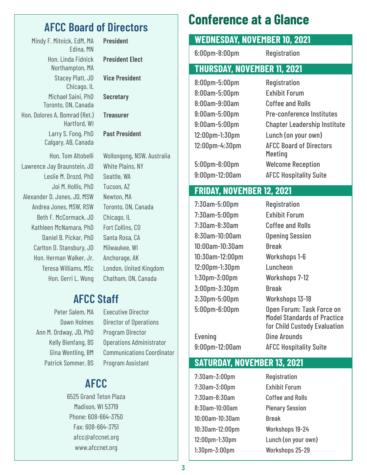### **AFCC Board of Directors**

Mindy F. Mitnick, EdM, MA **President** Edina, MN Hon. Linda Fidnick **President Elect** Northampton, MA Stacey Platt, JD **Vice President** Chicago, IL Michael Saini, PhD **Secretary** Toronto, ON, Canada Hon. Dolores A. Bomrad (Ret.) **Treasurer** Hartford, WI Larry S. Fong, PhD **Past President** Calgary, AB, Canada

Lawrence Jay Braunstein, JD White Plains, NY Leslie M. Drozd, PhD Seattle, WA Joi M. Hollis, PhD Tucson, AZ Alexander D. Jones, JD, MSW Newton, MA Andrea Jones, MSW, RSW Toronto, ON, Canada Beth F. McCormack, JD Chicago, IL Kathleen McNamara, PhD Fort Collins, CO Daniel B. Pickar, PhD Santa Rosa, CA Carlton D. Stansbury, JD Milwaukee, WI Hon. Herman Walker, Jr. Anchorage, AK

# **AFCC Staff**

Ann M. Ordway, JD, PhD Program Director Patrick Sommer, BS Program Assistant

Hon. Tom Altobelli Wollongong, NSW, Australia Teresa Williams, MSc London, United Kingdom Hon. Gerri L. Wong Chatham, ON, Canada

Peter Salem, MA Executive Director Dawn Holmes Director of Operations

Kelly Bienfang, BS Operations Administrator Gina Wentling, BM Communications Coordinator

### **AFCC**

6525 Grand Teton Plaza Madison, WI 53719 Phone: 608-664-3750 Fax: 608-664-3751 afcc@afccnet.org www.afccnet.org

### **Conference at a Glance**

### **WEDNESDAY, NOVEMBER 10, 2021**

6:00pm-8:00pm Registration

### **THURSDAY, NOVEMBER 11, 2021**

8:00pm-5:00pm Registration 8:00am-5:00pm Exhibit Forum 8:00am-9:00am Coffee and Rolls

9:00am-5:00pm Pre-conference Institutes 9:00am-5:00pm Chapter Leadership Institute 12:00pm-1:30pm Lunch (on your own) 12:00pm-4:30pm AFCC Board of Directors **Meeting** 5:00pm-6:00pm Welcome Reception 9:00pm-12:00am AFCC Hospitality Suite

#### **FRIDAY, NOVEMBER 12, 2021**

7:30am-5:00pm Registration 7:30am-5:00pm Exhibit Forum 7:30am-8:30am Coffee and Rolls 8:30am-10:00am Opening Session 10:00am-10:30am Break 10:30am-12:00pm Workshops 1-6 12:00pm-1:30pm Luncheon 1:30pm-3:00pm Workshops 7-12 3:00pm-3:30pm Break 3:30pm-5:00pm Workshops 13-18

5:00pm-6:00pm Open Forum: Task Force on Model Standards of Practice for Child Custody Evaluation Evening **Dine Arounds** 

9:00pm-12:00am AFCC Hospitality Suite

### **SATURDAY, NOVEMBER 13, 2021**

7:30am-3:00pm Registration 7:30am-3:00pm Exhibit Forum 7:30am-8:30am Coffee and Rolls 8:30am-10:00am Plenary Session 10:00am-10:30am Break 10:30am-12:00pm Workshops 19-24 1:30pm-3:00pm Workshops 25-29

12:00pm-1:30pm Lunch (on your own)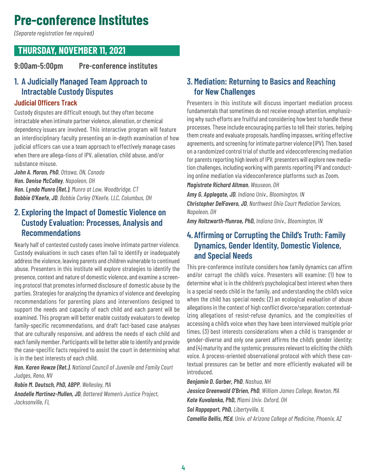# **Pre-conference Institutes**

*(Separate registration fee required)*

#### **THURSDAY, NOVEMBER 11, 2021**

**9:00am-5:00pm Pre-conference institutes**

#### **1. A Judicially Managed Team Approach to Intractable Custody Disputes**

#### **Judicial Officers Track**

Custody disputes are difficult enough, but they often become intractable when intimate partner violence, alienation, or chemical dependency issues are involved. This interactive program will feature an interdisciplinary faculty presenting an in-depth examination of how judicial officers can use a team approach to effectively manage cases when there are allega-tions of IPV, alienation, child abuse, and/or substance misuse.

*John A. Moran, PhD, Ottawa, ON, Canada Hon. Denise McColley, Napoleon, OH Hon. Lynda Munro (Ret.), Munro at Law, Woodbridge, CT Bobbie O'Keefe, JD, Bobbie Corley O'Keefe, LLC, Columbus, OH*

#### **2. Exploring the Impact of Domestic Violence on Custody Evaluation: Processes, Analysis and Recommendations**

Nearly half of contested custody cases involve intimate partner violence. Custody evaluations in such cases often fail to identify or inadequately address the violence, leaving parents and children vulnerable to continued abuse. Presenters in this institute will explore strategies to identify the presence, context and nature of domestic violence, and examine a screening protocol that promotes informed disclosure of domestic abuse by the parties. Strategies for analyzing the dynamics of violence and developing recommendations for parenting plans and interventions designed to support the needs and capacity of each child and each parent will be examined. This program will better enable custody evaluators to develop family-specific recommendations, and draft fact-based case analyses that are culturally responsive, and address the needs of each child and each family member. Participants will be better able to identify and provide the case-specific facts required to assist the court in determining what is in the best interests of each child.

*Hon. Karen Howze (Ret.), National Council of Juvenile and Family Court Judges, Reno, NV*

*Robin M. Deutsch, PhD, ABPP, Wellesley, MA Anadelle Martinez-Mullen, JD, Battered Women's Justice Project, Jacksonville, FL*

#### **3. Mediation: Returning to Basics and Reaching for New Challenges**

Presenters in this institute will discuss important mediation process fundamentals that sometimes do not receive enough attention, emphasizing why such efforts are fruitful and considering how best to handle these processes. These include encouraging parties to tell their stories, helping them create and evaluate proposals, handling impasses, writing effective agreements, and screening for intimate partner violence (IPV). Then, based on a randomized control trial of shuttle and videoconferencing mediation for parents reporting high levels of IPV, presenters will explore new mediation challenges, including working with parents reporting IPV and conducting online mediation via videoconference platforms such as Zoom.

*Magistrate Richard Altman, Wauseon, OH*

*Amy G. Applegate, JD, Indiana Univ., Bloomington, IN*

*Christopher DelFavero, JD, Northwest Ohio Court Mediation Services, Napoleon, OH*

*Amy Holtzworth-Munroe, PhD, Indiana Univ., Bloomington, IN*

#### **4. Affirming or Corrupting the Child's Truth: Family Dynamics, Gender Identity, Domestic Violence, and Special Needs**

This pre-conference institute considers how family dynamics can affirm and/or corrupt the child's voice. Presenters will examine: (1) how to determine what is in the children's psychological best interest when there is a special needs child in the family, and understanding the child's voice when the child has special needs; (2) an ecological evaluation of abuse allegations in the context of high conflict divorce/separation; contextualizing allegations of resist-refuse dynamics, and the complexities of accessing a child's voice when they have been interviewed multiple prior times, (3) best interests considerations when a child is transgender or gender-diverse and only one parent affirms the child's gender identity; and (4) maturity and the systemic pressures relevant to eliciting the child's voice. A process-oriented observational protocol with which these contextual pressures can be better and more efficiently evaluated will be introduced.

*Benjamin D. Garber, PhD, Nashua, NH*

*Jessica Greenwald O'Brien, PhD, William James College, Newton, MA Kate Kuvalanka, PhD, Miami Univ. Oxford, OH Sol Rappaport, PhD, Libertyville, IL Camellia Bellis, MEd, Univ. of Arizona College of Medicine, Phoenix, AZ*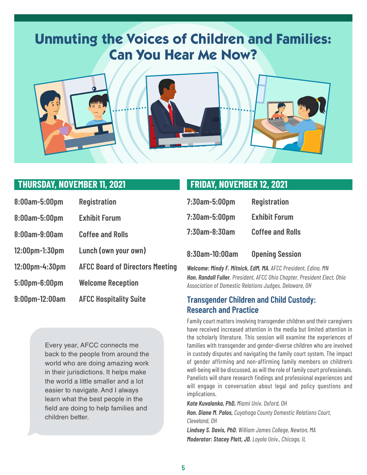### **Unmuting the Voices of Children and Families: Can You Hear Me Now?**



### **THURSDAY, NOVEMBER 11, 2021**

| 8:00am-5:00pm     | <b>Registration</b>                    |
|-------------------|----------------------------------------|
| 8:00am-5:00pm     | <b>Exhibit Forum</b>                   |
| 8:00am-9:00am     | <b>Coffee and Rolls</b>                |
| $12:00$ pm-1:30pm | Lunch (own your own)                   |
| $12:00$ pm-4:30pm | <b>AFCC Board of Directors Meeting</b> |
| 5:00pm-6:00pm     | <b>Welcome Reception</b>               |
| 9:00pm-12:00am    | <b>AFCC Hospitality Suite</b>          |

Every year, AFCC connects me back to the people from around the world who are doing amazing work in their jurisdictions. It helps make the world a little smaller and a lot easier to navigate. And I always learn what the best people in the field are doing to help families and children better.

#### **FRIDAY, NOVEMBER 12, 2021**

| 7:30am-5:00pm    | <b>Registration</b>     |
|------------------|-------------------------|
| $7:30$ am-5:00pm | <b>Exhibit Forum</b>    |
| 7:30am-8:30am    | <b>Coffee and Rolls</b> |

#### **8:30am-10:00am Opening Session**

*Welcome: Mindy F. Mitnick, EdM, MA, AFCC President, Edina, MN Hon. Randall Fuller, President, AFCC Ohio Chapter, President Elect, Ohio Association of Domestic Relations Judges, Delaware, OH*

#### **Transgender Children and Child Custody: Research and Practice**

Family court matters involving transgender children and their caregivers have received increased attention in the media but limited attention in the scholarly literature. This session will examine the experiences of families with transgender and gender-diverse children who are involved in custody disputes and navigating the family court system. The impact of gender affirming and non-affirming family members on children's well-being will be discussed, as will the role of family court professionals. Panelists will share research findings and professional experiences and will engage in conversation about legal and policy questions and implications.

*Kate Kuvalanka, PhD, Miami Univ. Oxford, OH*

*Hon. Diane M. Palos, Cuyahoga County Domestic Relations Court, Cleveland, OH*

*Lindsey S. Davis, PhD, William James College, Newton, MA Moderator: Stacey Platt, JD, Loyola Univ., Chicago, IL*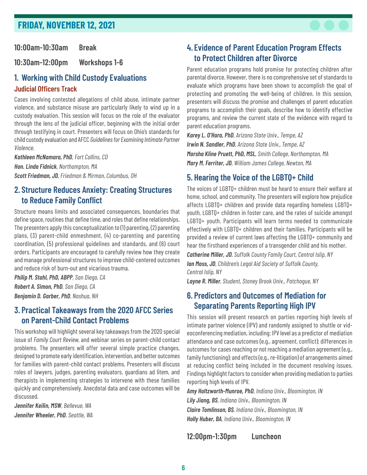#### **FRIDAY, NOVEMBER 12, 2021**

**10:00am-10:30am Break**

**10:30am-12:00pm Workshops 1-6**

#### **1. Working with Child Custody Evaluations Judicial Officers Track**

Cases involving contested allegations of child abuse, intimate partner violence, and substance misuse are particularly likely to wind up in a custody evaluation. This session will focus on the role of the evaluator through the lens of the judicial officer, beginning with the initial order through testifying in court. Presenters will focus on Ohio's standards for child custody evaluation and AFCC *Guidelines for Examining Intimate Partner Violence.*

*Kathleen McNamara, PhD, Fort Collins, CO Hon. Linda Fidnick, Northampton, MA Scott Friedman, JD, Friedman & Mirman, Columbus, OH*

#### **2. Structure Reduces Anxiety: Creating Structures to Reduce Family Conflict**

Structure means limits and associated consequences, boundaries that define space, routines that define time, and roles that define relationships. The presenters apply this conceptualization to (1) parenting, (2) parenting plans, (3) parent-child enmeshment, (4) co-parenting and parenting coordination, (5) professional guidelines and standards, and (6) court orders. Participants are encouraged to carefully review how they create and manage professional structures to improve child-centered outcomes and reduce risk of burn-out and vicarious trauma.

*Philip M. Stahl, PhD, ABPP, San Diego, CA Robert A. Simon, PhD, San Diego, CA Benjamin D. Garber, PhD, Nashua, NH*

#### **3. Practical Takeaways from the 2020 AFCC Series on Parent-Child Contact Problems**

This workshop will highlight several key takeaways from the 2020 special issue of *Family Court Review,* and webinar series on parent-child contact problems. The presenters will offer several simple practice changes, designed to promote early identification, intervention, and better outcomes for families with parent-child contact problems. Presenters will discuss roles of lawyers, judges, parenting evaluators, guardians ad litem, and therapists in implementing strategies to intervene with these families quickly and comprehensively. Anecdotal data and case outcomes will be discussed.

*Jennifer Keilin, MSW, Bellevue, WA Jennifer Wheeler, PhD, Seattle, WA*

#### **4. Evidence of Parent Education Program Effects to Protect Children after Divorce**

Parent education programs hold promise for protecting children after parental divorce. However, there is no comprehensive set of standards to evaluate which programs have been shown to accomplish the goal of protecting and promoting the well-being of children. In this session, presenters will discuss the promise and challenges of parent education programs to accomplish their goals, describe how to identify effective programs, and review the current state of the evidence with regard to parent education programs.

*Karey L. O'Hara, PhD, Arizona State Univ., Tempe, AZ Irwin N. Sandler, PhD, Arizona State Univ., Tempe, AZ Marsha Kline Pruett, PhD, MSL, Smith College, Northampton, MA Mary M. Ferriter, JD, William James College, Newton, MA*

#### **5. Hearing the Voice of the LGBTQ+ Child**

The voices of LGBTQ+ children must be heard to ensure their welfare at home, school, and community. The presenters will explore how prejudice affects LGBTQ+ children and provide data regarding homeless LGBTQ+ youth, LGBTQ+ children in foster care, and the rates of suicide amongst LGBTQ+ youth. Participants will learn terms needed to communicate effectively with LGBTQ+ children and their families. Participants will be provided a review of current laws affecting the LGBTQ+ community and hear the firsthand experiences of a transgender child and his mother. *Catherine Miller, JD, Suffolk County Family Court, Central Islip, NY*

*Ian Moss, JD, Children's Legal Aid Society of Suffolk County, Central Islip, NY*

*Layne R. Miller, Student, Stoney Brook Univ., Patchogue, NY*

#### **6. Predictors and Outcomes of Mediation for Separating Parents Reporting High IPV**

This session will present research on parties reporting high levels of intimate partner violence (IPV) and randomly assigned to shuttle or videoconferencing mediation, including: IPV level as a predictor of mediation attendance and case outcomes (e.g., agreement, conflict); differences in outcomes for cases reaching or not reaching a mediation agreement (e.g., family functioning); and effects (e.g., re-litigation) of arrangements aimed at reducing conflict being included in the document resolving issues. Findings highlight factors to consider when providing mediation to parties reporting high levels of IPV.

*Amy Holtzworth-Munroe, PhD, Indiana Univ., Bloomington, IN Lily Jiang, BS, Indiana Univ., Bloomington, IN Claire Tomlinson, BS, Indiana Univ., Bloomington, IN Holly Huber, BA, Indiana Univ., Bloomington, IN*

**12:00pm-1:30pm Luncheon**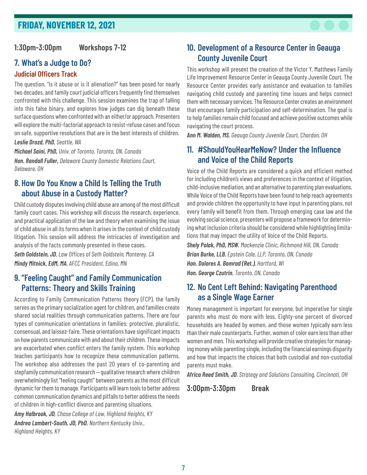#### **FRIDAY, NOVEMBER 12, 2021**



#### **1:30pm-3:00pm Workshops 7-12**

#### **7. What's a Judge to Do? Judicial Officers Track**

The question, "Is it abuse or is it alienation?" has been posed for nearly two decades, and family court judicial officers frequently find themselves confronted with this challenge. This session examines the trap of falling into this false binary, and explores how judges can dig beneath these surface questions when confronted with an either/or approach. Presenters will explore the multi-factorial approach to resist-refuse cases and focus on safe, supportive resolutions that are in the best interests of children. *Leslie Drozd, PhD, Seattle, WA*

*Michael Saini, PhD, Univ. of Toronto, Toronto, ON, Canada Hon. Randall Fuller, Delaware County Domestic Relations Court, Delaware, OH*

#### **8. How Do You Know a Child Is Telling the Truth about Abuse in a Custody Matter?**

Child custody disputes involving child abuse are among of the most difficult family court cases. This workshop will discuss the research, experience, and practical application of the law and theory when examining the issue of child abuse in all its forms when it arises in the context of child custody litigation. This session will address the intricacies of investigation and analysis of the facts commonly presented in these cases.

*Seth Goldstein, JD, Law Offices of Seth Goldstein, Monterey, CA Mindy Mitnick, EdM, MA, AFCC President, Edina, MN*

#### **9. "Feeling Caught" and Family Communication Patterns: Theory and Skills Training**

According to Family Communication Patterns theory (FCP), the family serves as the primary socialization agent for children, and families create shared social realities through communication patterns. There are four types of communication orientations in families: protective, pluralistic, consensual, and laissez-faire. These orientations have significant impacts on how parents communicate with and about their children. These impacts are exacerbated when conflict enters the family system. This workshop teaches participants how to recognize these communication patterns. The workshop also addresses the past 20 years of co-parenting and stepfamily communication research—qualitative research where children overwhelmingly list "feeling caught" between parents as the most difficult dynamic for them to manage. Participants will learn tools to better address common communication dynamics and pitfalls to better address the needs of children in high-conflict divorce and parenting situations. *Amy Halbrook, JD, Chase College of Law, Highland Heights, KY Andrea Lambert-South, JD, PhD, Northern Kentucky Univ.,* 

*Highland Heights, KY*

#### **10. Development of a Resource Center in Geauga County Juvenile Court**

This workshop will present the creation of the Victor Y. Matthews Family Life Improvement Resource Center in Geauga County Juvenile Court. The Resource Center provides early assistance and evaluation to families navigating child custody and parenting time issues and helps connect them with necessary services. The Resource Center creates an environment that encourages family participation and self-determination. The goal is to help families remain child focused and achieve positive outcomes while navigating the court process.

*Ann M. Walden, MS, Geauga County Juvenile Court, Chardon, OH*

#### **11. #ShouldYouHearMeNow? Under the Influence and Voice of the Child Reports**

Voice of the Child Reports are considered a quick and efficient method for including children's views and preferences in the context of litigation, child-inclusive mediation, and an alternative to parenting plan evaluations. While Voice of the Child Reports have been found to help reach agreements and provide children the opportunity to have input in parenting plans, not every family will benefit from them. Through emerging case law and the evolving social science, presenters will propose a framework for determining what inclusion criteria should be considered while highlighting limitations that may impact the utility of Voice of the Child Reports.

*Shely Polak, PhD, MSW, Mackenzie Clinic, Richmond Hill, ON, Canada Brian Burke, LLB, Epstein Cole, LLP, Toronto, ON, Canada Hon. Dolores A. Bomrad (Ret.), Hartford, WI Hon. George Czutrin, Toronto, ON, Canada*

#### **12. No Cent Left Behind: Navigating Parenthood as a Single Wage Earner**

Money management is important for everyone, but imperative for single parents who must do more with less. Eighty-one percent of divorced households are headed by women, and those women typically earn less than their male counterparts. Further, women of color earn less than other women and men. This workshop will provide creative strategies for managing money while parenting single, including the financial earnings disparity and how that impacts the choices that both custodial and non-custodial parents must make.

*Africa Reed Smith, JD, Strategy and Solutions Consulting, Cincinnati, OH*

**3:00pm-3:30pm Break**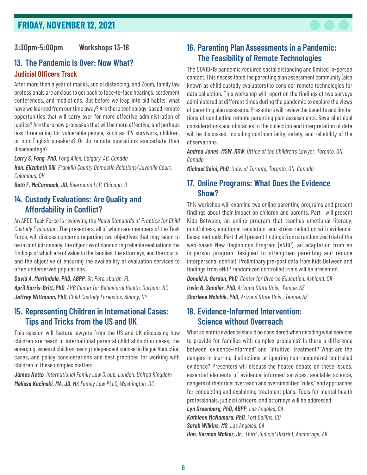#### **FRIDAY, NOVEMBER 12, 2021**



#### **3:30pm-5:00pm Workshops 13-18**

#### **13. The Pandemic Is Over: Now What? Judicial Officers Track**

After more than a year of masks, social distancing, and Zoom, family law professionals are anxious to get back to face-to-face hearings, settlement conferences, and mediations. But before we leap into old habits, what have we learned from our time away? Are there technology-based remote opportunities that will carry over for more effective administration of justice? Are there new processes that will be more effective, and perhaps less threatening for vulnerable people, such as IPV survivors, children, or non-English speakers? Or do remote operations exacerbate their disadvantage?

*Larry S. Fong, PhD, Fong Ailon, Calgary, AB, Canada Hon. Elizabeth Gill, Franklin County Domestic Relations/Juvenile Court,* 

*Columbus, OH*

*Beth F. McCormack, JD, Beermann LLP, Chicago, IL*

#### **14. Custody Evaluations: Are Quality and Affordability in Conflict?**

An AFCC Task Force is reviewing the *Model Standards of Practice for Child Custody Evaluation*. The presenters, all of whom are members of the Task Force, will discuss concerns regarding two objectives that may seem to be in conflict; namely, the objective of conducting reliable evaluations the findings of which are of value to the families, the attorneys, and the courts, and the objective of ensuring the availability of evaluation services to often underserved populations.

*David A. Martindale, PhD, ABPP, St. Petersburgh, FL April Harris-Britt, PhD, AHB Center for Behavioral Health, Durham, NC Jeffrey Wittmann, PhD, Child Custody Forensics, Albany, NY*

#### **15. Representing Children in International Cases: Tips and Tricks from the US and UK**

This session will feature lawyers from the US and UK discussing how children are heard in international parental child abduction cases, the emerging issues of children having independent counsel in Hague Abduction cases, and policy considerations and best practices for working with children in these complex matters.

*James Netto, International Family Law Group, London, United Kingdom Melissa Kucinski, MA, JD, MK Family Law PLLC, Washington, DC*

#### **16. Parenting Plan Assessments in a Pandemic: The Feasibility of Remote Technologies**

The COVID-19 pandemic required social distancing and limited in-person contact. This necessitated the parenting plan assessment community (also known as child custody evaluators) to consider remote technologies for data collection. This workshop will report on the findings of two surveys administered at different times during the pandemic to explore the views of parenting plan assessors. Presenters will review the benefits and limitations of conducting remote parenting plan assessments. Several ethical considerations and obstacles to the collection and interpretation of data will be discussed, including confidentiality, safety, and reliability of the observations.

*Andrea Jones, MSW, RSW, Office of the Children's Lawyer, Toronto, ON, Canada*

*Michael Saini, PhD, Univ. of Toronto, Toronto, ON, Canada*

#### **17. Online Programs: What Does the Evidence Show?**

This workshop will examine two online parenting programs and present findings about their impact on children and parents. Part I will present Kids Between, an online program that teaches emotional literacy, mindfulness, emotional regulation, and stress-reduction with evidencebased methods. Part II will present findings from a randomized trial of the web-based New Beginnings Program (eNBP), an adaptation from an in-person program designed to strengthen parenting and reduce interpersonal conflict. Preliminary pre-post data from Kids Between and findings from eNBP randomized controlled trials will be presented.

*Donald A. Gordon, PhD, Center for Divorce Education, Ashland, OR Irwin N. Sandler, PhD, Arizona State Univ., Tempe, AZ Sharlene Wolchik, PhD, Arizona State Univ., Tempe, AZ*

#### **18. Evidence-Informed Intervention: Science without Overreach**

What scientific evidence should be considered when deciding what services to provide for families with complex problems? Is there a difference between "evidence-informed" and "intuitive" treatment? What are the dangers in blurring distinctions or ignoring non-randomized controlled evidence? Presenters will discuss the heated debate on these issues, essential elements of evidence-informed services, available science, dangers of rhetorical overreach and oversimplified "rules," and approaches for conducting and explaining treatment plans. Tools for mental health professionals, judicial officers, and attorneys will be addressed.

*Lyn Greenberg, PhD, ABPP, Los Angeles, CA*

*Kathleen McNamara, PhD, Fort Collins, CO*

*Sarah Wilkins, MS, Los Angeles, CA*

*Hon. Herman Walker, Jr., Third Judicial District, Anchorage, AK*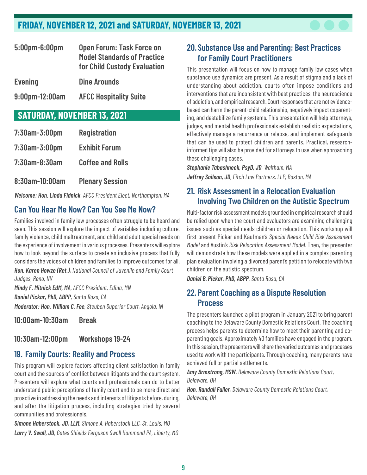#### **FRIDAY, NOVEMBER 12, 2021 and SATURDAY, NOVEMBER 13, 2021**

| 5:00pm-6:00pm  | Open Forum: Task Force on<br><b>Model Standards of Practice</b><br><b>for Child Custody Evaluation</b> |  |  |
|----------------|--------------------------------------------------------------------------------------------------------|--|--|
| <b>Evening</b> | <b>Dine Arounds</b>                                                                                    |  |  |
| 9:00pm-12:00am | <b>AFCC Hospitality Suite</b>                                                                          |  |  |

### **SATURDAY, NOVEMBER 13, 2021**

| $7:30$ am- $3:00$ pm | <b>Registration</b>     |  |  |
|----------------------|-------------------------|--|--|
| 7:30am-3:00pm        | <b>Exhibit Forum</b>    |  |  |
| 7:30am-8:30am        | <b>Coffee and Rolls</b> |  |  |
| 8:30am-10:00am       | <b>Plenary Session</b>  |  |  |

*Welcome: Hon. Linda Fidnick, AFCC President Elect, Northampton, MA*

#### **Can You Hear Me Now? Can You See Me Now?**

Families involved in family law processes often struggle to be heard and seen. This session will explore the impact of variables including culture, family violence, child maltreatment, and child and adult special needs on the experience of involvement in various processes. Presenters will explore how to look beyond the surface to create an inclusive process that fully considers the voices of children and families to improve outcomes for all.

*Hon. Karen Howze (Ret.), National Council of Juvenile and Family Court Judges, Reno, NV*

*Mindy F. Mitnick EdM, MA, AFCC President, Edina, MN Daniel Pickar, PhD, ABPP, Santa Rosa, CA Moderator: Hon. William C. Fee, Steuben Superior Court, Angola, IN*

**10:00am-10:30am Break**

**10:30am-12:00pm Workshops 19-24**

#### **19. Family Courts: Reality and Process**

This program will explore factors affecting client satisfaction in family court and the sources of conflict between litigants and the court system. Presenters will explore what courts and professionals can do to better understand public perceptions of family court and to be more direct and proactive in addressing the needs and interests of litigants before, during, and after the litigation process, including strategies tried by several communities and professionals.

*Simone Haberstock, JD, LLM, Simone A. Haberstock LLC, St. Louis, MO Larry V. Swall, JD, Gates Shields Ferguson Swall Hammond PA, Liberty, MO*

#### **20. Substance Use and Parenting: Best Practices for Family Court Practitioners**

This presentation will focus on how to manage family law cases when substance use dynamics are present. As a result of stigma and a lack of understanding about addiction, courts often impose conditions and interventions that are inconsistent with best practices, the neuroscience of addiction, and empirical research. Court responses that are not evidencebased can harm the parent-child relationship, negatively impact coparenting, and destabilize family systems. This presentation will help attorneys, judges, and mental health professionals establish realistic expectations, effectively manage a recurrence or relapse, and implement safeguards that can be used to protect children and parents. Practical, researchinformed tips will also be provided for attorneys to use when approaching these challenging cases.

*Stephanie Tabashneck, PsyD, JD, Waltham, MA Jeffrey Soilson, JD, Fitch Law Partners, LLP, Boston, MA*

#### **21. Risk Assessment in a Relocation Evaluation Involving Two Children on the Autistic Spectrum**

Multi-factor risk assessment models grounded in empirical research should be relied upon when the court and evaluators are examining challenging issues such as special needs children or relocation. This workshop will first present Pickar and Kaufman's *Special Needs Child Risk Assessment Model* and Austin's *Risk Relocation Assessment Model.* Then, the presenter will demonstrate how these models were applied in a complex parenting plan evaluation involving a divorced parent's petition to relocate with two children on the autistic spectrum.

*Daniel B. Pickar, PhD, ABPP, Santa Rosa, CA*

#### **22. Parent Coaching as a Dispute Resolution Process**

The presenters launched a pilot program in January 2021 to bring parent coaching to the Delaware County Domestic Relations Court. The coaching process helps parents to determine how to meet their parenting and coparenting goals. Approximately 40 families have engaged in the program. In this session, the presenters will share the varied outcomes and processes used to work with the participants. Through coaching, many parents have achieved full or partial settlements.

*Amy Armstrong, MSW, Delaware County Domestic Relations Court, Delaware, OH*

*Hon. Randall Fuller, Delaware County Domestic Relations Court, Delaware, OH*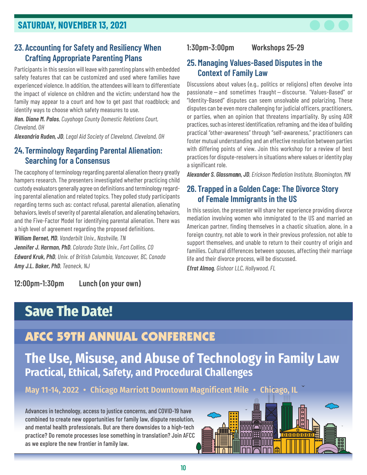#### **SATURDAY, NOVEMBER 13, 2021**

#### **23. Accounting for Safety and Resiliency When Crafting Appropriate Parenting Plans**

Participants in this session will leave with parenting plans with embedded safety features that can be customized and used where families have experienced violence. In addition, the attendees will learn to differentiate the impact of violence on children and the victim; understand how the family may appear to a court and how to get past that roadblock; and identify ways to choose which safety measures to use.

*Hon. Diane M. Palos, Cuyahoga County Domestic Relations Court, Cleveland, OH*

*Alexandria Ruden, JD, Legal Aid Society of Cleveland, Cleveland, OH*

#### **24.Terminology Regarding Parental Alienation: Searching for a Consensus**

The cacophony of terminology regarding parental alienation theory greatly hampers research. The presenters investigated whether practicing child custody evaluators generally agree on definitions and terminology regarding parental alienation and related topics. They polled study participants regarding terms such as: contact refusal, parental alienation, alienating behaviors, levels of severity of parental alienation, and alienating behaviors, and the Five-Factor Model for identifying parental alienation. There was a high level of agreement regarding the proposed definitions.

*William Bernet, MD, Vanderbilt Univ., Nashville, TN Jennifer J. Harman, PhD, Colorado State Univ., Fort Collins, CO Edward Kruk, PhD, Univ. of British Columbia, Vancouver, BC, Canada Amy J.L. Baker, PhD, Teaneck, NJ*

**12:00pm-1:30pm Lunch (on your own)**

#### **1:30pm-3:00pm Workshops 25-29**

#### **25. Managing Values-Based Disputes in the Context of Family Law**

Discussions about values (e.g., politics or religions) often devolve into passionate — and sometimes fraught — discourse. "Values-Based" or "Identity-Based" disputes can seem unsolvable and polarizing. These disputes can be even more challenging for judicial officers, practitioners, or parties, when an opinion that threatens impartiality. By using ADR practices, such as interest identification, reframing, and the idea of building practical "other-awareness" through "self-awareness," practitioners can foster mutual understanding and an effective resolution between parties with differing points of view. Join this workshop for a review of best practices for dispute-resolvers in situations where values or identity play a significant role.

*Alexander S. Glassmann, JD, Erickson Mediation Institute, Bloomington, MN*

#### **26. Trapped in a Golden Cage: The Divorce Story of Female Immigrants in the US**

In this session, the presenter will share her experience providing divorce mediation involving women who immigrated to the US and married an American partner, finding themselves in a chaotic situation, alone, in a foreign country, not able to work in their previous profession, not able to support themselves, and unable to return to their country of origin and families. Cultural differences between spouses, affecting their marriage life and their divorce process, will be discussed.

*Efrat Almog, Gishoor LLC, Hollywood, FL*

### **Save The Date!**

### AFCC 59TH ANNUAL CONFERENCE

**The Use, Misuse, and Abuse of Technology in Family Law Practical, Ethical, Safety, and Procedural Challenges**

**May 11-14, 2022 • Chicago Marriott Downtown Magnificent Mile • Chicago** 

Advances in technology, access to justice concerns, and COVID-19 have combined to create new opportunities for family law, dispute resolution, and mental health professionals. But are there downsides to a high-tech practice? Do remote processes lose something in translation? Join AFCC as we explore the new frontier in family law.

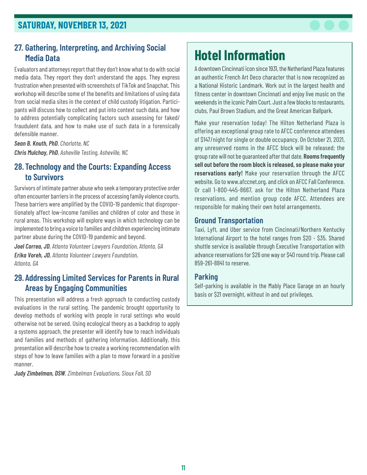

#### **27. Gathering, Interpreting, and Archiving Social Media Data**

Evaluators and attorneys report that they don't know what to do with social media data. They report they don't understand the apps. They express frustration when presented with screenshots of TikTok and Snapchat. This workshop will describe some of the benefits and limitations of using data from social media sites in the context of child custody litigation. Participants will discuss how to collect and put into context such data, and how to address potentially complicating factors such assessing for faked/ fraudulent data, and how to make use of such data in a forensically defensible manner.

*Sean B. Knuth, PhD, Charlotte, NC*

*Chris Mulchay, PhD, Asheville Testing, Asheville, NC*

#### **28. Technology and the Courts: Expanding Access to Survivors**

Survivors of intimate partner abuse who seek a temporary protective order often encounter barriers in the process of accessing family violence courts. These barriers were amplified by the COVID-19 pandemic that disproportionately affect low-income families and children of color and those in rural areas. This workshop will explore ways in which technology can be implemented to bring a voice to families and children experiencing intimate partner abuse during the COVID-19 pandemic and beyond.

*Joel Correa, JD, Atlanta Volunteer Lawyers Foundation, Atlanta, GA Erika Voreh, JD, Atlanta Volunteer Lawyers Foundation, Atlanta, GA*

#### **29. Addressing Limited Services for Parents in Rural Areas by Engaging Communities**

This presentation will address a fresh approach to conducting custody evaluations in the rural setting. The pandemic brought opportunity to develop methods of working with people in rural settings who would otherwise not be served. Using ecological theory as a backdrop to apply a systems approach, the presenter will identify how to reach individuals and families and methods of gathering information. Additionally, this presentation will describe how to create a working recommendation with steps of how to leave families with a plan to move forward in a positive manner.

*Judy Zimbelman, DSW, Zimbelman Evaluations, Sioux Fall, SD*

# **Hotel Information**

A downtown Cincinnati icon since 1931, the Netherland Plaza features an authentic French Art Deco character that is now recognized as a National Historic Landmark. Work out in the largest health and fitness center in downtown Cincinnati and enjoy live music on the weekends in the iconic Palm Court. Just a few blocks to restaurants, clubs, Paul Brown Stadium, and the Great American Ballpark.

Make your reservation today! The Hilton Netherland Plaza is offering an exceptional group rate to AFCC conference attendees of \$147/night for single or double occupancy. On October 21, 2021, any unreserved rooms in the AFCC block will be released; the group rate will not be guaranteed after that date. **Rooms frequently sell out before the room block is released, so please make your reservations early!** Make your reservation through the AFCC website. Go to www.afccnet.org. and click on AFCC Fall Conference. Or call 1-800-445-8667, ask for the Hilton Netherland Plaza reservations, and mention group code AFCC. Attendees are responsible for making their own hotel arrangements.

#### **Ground Transportation**

Taxi, Lyft, and Uber service from Cincinnati/Northern Kentucky International Airport to the hotel ranges from \$20 - \$35. Shared shuttle service is available through Executive Transportation with advance reservations for \$26 one way or \$40 round trip. Please call 859-261-8841 to reserve.

#### **Parking**

Self-parking is available in the Mably Place Garage on an hourly basis or \$21 overnight, without in and out privileges.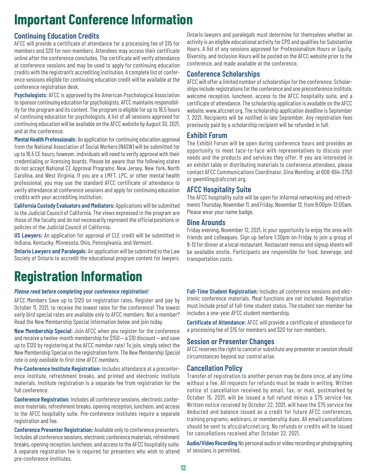# **Important Conference Information**

#### **Continuing Education Credits**

AFCC will provide a certificate of attendance for a processing fee of \$15 for members and \$20 for non-members. Attendees may access their certificate online after the conference concludes. The certificate will verify attendance at conference sessions and may be used to apply for continuing education credits with the registrant's accrediting institution. A complete list of conference sessions eligible for continuing education credit will be available at the conference registration desk.

**Psychologists:** AFCC is approved by the American Psychological Association to sponsor continuing education for psychologists. AFCC maintains responsibility for the program and its content. The program is eligible for up to 16.5 hours of continuing education for psychologists. A list of all sessions approved for continuing education will be available on the AFCC website by August 30, 2021, and at the conference.

**Mental Health Professionals:** An application for continuing education approval from the National Association of Social Workers (NASW) will be submitted for up to 16.5 CE hours; however, individuals will need to verify approval with their credentialing or licensing boards. Please be aware that the following states do not accept National CE Approval Programs: New Jersey, New York, North Carolina, and West Virginia. If you are a LMFT, LPC, or other mental health professional, you may use the standard AFCC certificate of attendance to verify attendance at conference sessions and apply for continuing education credits with your accrediting institution.

**California Custody Evaluators and Mediators:** Applications will be submitted to the Judicial Council of California. The views expressed in the program are those of the faculty and do not necessarily represent the official positions or policies of the Judicial Council of California.

**US Lawyers:** An application for approval of CLE credit will be submitted in Indiana, Kentucky, Minnesota, Ohio, Pennsylvania, and Vermont.

**Ontario Lawyers and Paralegals:** An application will be submitted to the Law Society of Ontario to accredit the educational program content for lawyers.

# **Registration Information**

#### *Please read before completing your conference registration!*

AFCC Members Save up to \$120 on registration rates. Register and pay by October 11, 2021, to receive the lowest rates for the conference! The lowest early bird special rates are available only to AFCC members. Not a member? Read the New Membership Special information below and join today.

**New Membership Special:** Join AFCC when you register for the conference and receive a twelve-month membership for \$150—a \$10 discount—and save up to \$120 by registering at the AFCC member rate! To join, simply select the New Membership Special on the registration form. *The New Membership Special rate is only available to first-time AFCC members.*

**Pre-Conference Institute Registration:** Includes attendance at a preconference institute, refreshment breaks, and printed and electronic institute materials. Institute registration is a separate fee from registration for the full conference.

**Conference Registration:** Includes all conference sessions, electronic conference materials, refreshment breaks, opening reception, luncheon, and access to the AFCC hospitality suite. Pre-conference institutes require a separate registration and fee.

**Conference Presenter Registration:** Available only to conference presenters. Includes all conference sessions, electronic conference materials, refreshment breaks, opening reception, luncheon, and access to the AFCC hospitality suite. A separate registration fee is required for presenters who wish to attend pre-conference institutes.

Ontario lawyers and paralegals must determine for themselves whether an activity is an eligible educational activity for CPD and qualifies for Substantive Hours. A list of any sessions approved for Professionalism Hours or Equity, Diversity, and Inclusion Hours will be posted on the AFCC website prior to the conference, and made available at the conference.

#### **Conference Scholarships**

AFCC will offer a limited number of scholarships for the conference. Scholarships include registrations for the conference and one preconference institute, welcome reception, luncheon, access to the AFCC hospitality suite, and a certificate of attendance. The scholarship application is available on the AFCC website, www.afccnet.org. The scholarship application deadline is September 7, 2021. Recipients will be notified in late September. Any registration fees previously paid by a scholarship recipient will be refunded in full.

#### **Exhibit Forum**

The Exhibit Forum will be open during conference hours and provides an opportunity to meet face-to-face with representatives to discuss your needs and the products and services they offer. If you are interested in an exhibit table or distributing materials to conference attendees, please contact AFCC Communications Coordinator, Gina Wentling, at 608-664-3750 or gwentling@afccnet.org.

#### **AFCC Hospitality Suite**

The AFCC hospitality suite will be open for informal networking and refreshments Thursday, November 11, and Friday, November 12, from 9:00pm-12:00am. Please wear your name badge.

#### **Dine Arounds**

Friday evening, November 12, 2021, is your opportunity to enjoy the area with friends and colleagues. Sign up before 1:30pm on Friday to join a group of 8-12 for dinner at a local restaurant. Restaurant menus and signup sheets will be available onsite. Participants are responsible for food, beverage, and transportation costs.

**Full-Time Student Registration:** Includes all conference sessions and electronic conference materials. Meal functions are not included. Registration must include proof of full-time student status. The student non-member fee includes a one-year AFCC student membership.

**Certificate of Attendance:** AFCC will provide a certificate of attendance for a processing fee of \$15 for members and \$20 for non-members.

#### **Session or Presenter Changes**

AFCC reserves the right to cancel or substitute any presenter or session should circumstances beyond our control arise.

#### **Cancellation Policy**

Transfer of registration to another person may be done once, at any time without a fee. All requests for refunds must be made in writing. Written notice of cancellation received by email, fax, or mail, postmarked by October 15, 2021, will be issued a full refund minus a \$75 service fee. Written notice received by October 22, 2021, will have the \$75 service fee deducted and balance issued as a credit for future AFCC conferences, training programs, webinars, or membership dues. All email cancellations should be sent to afcc@afccnet.org. No refunds or credits will be issued for cancellations received after October 22, 2021.

**Audio/Video Recording** No personal audio or video recording or photographing of sessions is permitted.